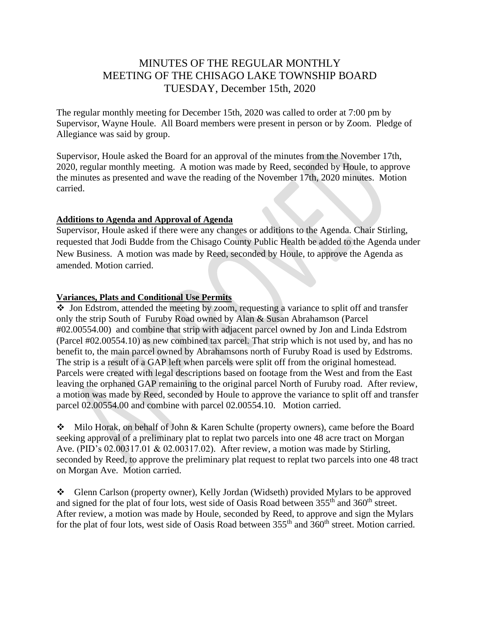# MINUTES OF THE REGULAR MONTHLY MEETING OF THE CHISAGO LAKE TOWNSHIP BOARD TUESDAY, December 15th, 2020

The regular monthly meeting for December 15th, 2020 was called to order at 7:00 pm by Supervisor, Wayne Houle. All Board members were present in person or by Zoom. Pledge of Allegiance was said by group.

Supervisor, Houle asked the Board for an approval of the minutes from the November 17th, 2020, regular monthly meeting. A motion was made by Reed, seconded by Houle, to approve the minutes as presented and wave the reading of the November 17th, 2020 minutes. Motion carried.

### **Additions to Agenda and Approval of Agenda**

Supervisor, Houle asked if there were any changes or additions to the Agenda. Chair Stirling, requested that Jodi Budde from the Chisago County Public Health be added to the Agenda under New Business. A motion was made by Reed, seconded by Houle, to approve the Agenda as amended. Motion carried.

### **Variances, Plats and Conditional Use Permits**

❖ Jon Edstrom, attended the meeting by zoom, requesting a variance to split off and transfer only the strip South of Furuby Road owned by Alan & Susan Abrahamson (Parcel #02.00554.00) and combine that strip with adjacent parcel owned by Jon and Linda Edstrom (Parcel #02.00554.10) as new combined tax parcel. That strip which is not used by, and has no benefit to, the main parcel owned by Abrahamsons north of Furuby Road is used by Edstroms. The strip is a result of a GAP left when parcels were split off from the original homestead. Parcels were created with legal descriptions based on footage from the West and from the East leaving the orphaned GAP remaining to the original parcel North of Furuby road. After review, a motion was made by Reed, seconded by Houle to approve the variance to split off and transfer parcel 02.00554.00 and combine with parcel 02.00554.10. Motion carried.

❖ Milo Horak, on behalf of John & Karen Schulte (property owners), came before the Board seeking approval of a preliminary plat to replat two parcels into one 48 acre tract on Morgan Ave. (PID's 02.00317.01 & 02.00317.02). After review, a motion was made by Stirling, seconded by Reed, to approve the preliminary plat request to replat two parcels into one 48 tract on Morgan Ave. Motion carried.

❖ Glenn Carlson (property owner), Kelly Jordan (Widseth) provided Mylars to be approved and signed for the plat of four lots, west side of Oasis Road between 355<sup>th</sup> and 360<sup>th</sup> street. After review, a motion was made by Houle, seconded by Reed, to approve and sign the Mylars for the plat of four lots, west side of Oasis Road between  $355<sup>th</sup>$  and  $360<sup>th</sup>$  street. Motion carried.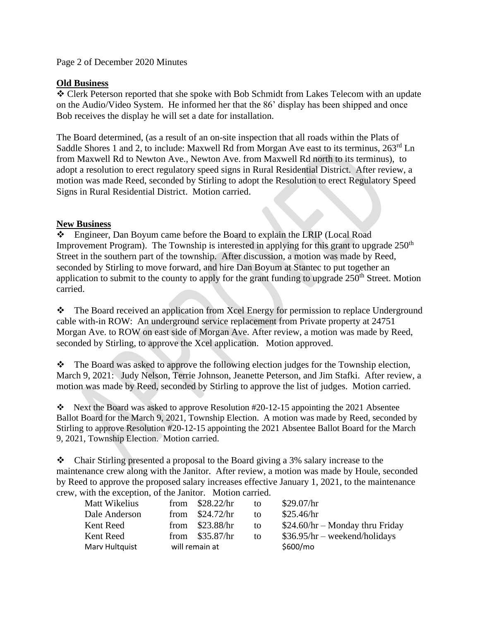Page 2 of December 2020 Minutes

# **Old Business**

❖ Clerk Peterson reported that she spoke with Bob Schmidt from Lakes Telecom with an update on the Audio/Video System. He informed her that the 86' display has been shipped and once Bob receives the display he will set a date for installation.

The Board determined, (as a result of an on-site inspection that all roads within the Plats of Saddle Shores 1 and 2, to include: Maxwell Rd from Morgan Ave east to its terminus,  $263^{\text{rd}}$  Ln from Maxwell Rd to Newton Ave., Newton Ave. from Maxwell Rd north to its terminus), to adopt a resolution to erect regulatory speed signs in Rural Residential District. After review, a motion was made Reed, seconded by Stirling to adopt the Resolution to erect Regulatory Speed Signs in Rural Residential District. Motion carried.

# **New Business**

❖ Engineer, Dan Boyum came before the Board to explain the LRIP (Local Road Improvement Program). The Township is interested in applying for this grant to upgrade  $250<sup>th</sup>$ Street in the southern part of the township. After discussion, a motion was made by Reed, seconded by Stirling to move forward, and hire Dan Boyum at Stantec to put together an application to submit to the county to apply for the grant funding to upgrade  $250<sup>th</sup>$  Street. Motion carried.

❖ The Board received an application from Xcel Energy for permission to replace Underground cable with-in ROW: An underground service replacement from Private property at 24751 Morgan Ave. to ROW on east side of Morgan Ave. After review, a motion was made by Reed, seconded by Stirling, to approve the Xcel application. Motion approved.

❖ The Board was asked to approve the following election judges for the Township election, March 9, 2021: Judy Nelson, Terrie Johnson, Jeanette Peterson, and Jim Stafki. After review, a motion was made by Reed, seconded by Stirling to approve the list of judges. Motion carried.

❖ Next the Board was asked to approve Resolution #20-12-15 appointing the 2021 Absentee Ballot Board for the March 9, 2021, Township Election. A motion was made by Reed, seconded by Stirling to approve Resolution #20-12-15 appointing the 2021 Absentee Ballot Board for the March 9, 2021, Township Election. Motion carried.

❖ Chair Stirling presented a proposal to the Board giving a 3% salary increase to the maintenance crew along with the Janitor. After review, a motion was made by Houle, seconded by Reed to approve the proposed salary increases effective January 1, 2021, to the maintenance crew, with the exception, of the Janitor. Motion carried.

| Matt Wikelius  |                | from $$28.22/hr$ | to | \$29.07/hr                       |
|----------------|----------------|------------------|----|----------------------------------|
| Dale Anderson  |                | from $$24.72/hr$ | to | \$25.46/hr                       |
| Kent Reed      |                | from $$23.88/hr$ | to | $$24.60/hr - Monday$ thru Friday |
| Kent Reed      |                | from $$35.87/hr$ | to | $$36.95/hr - weekend/holidays$   |
| Mary Hultquist | will remain at |                  |    | \$600/m <sub>o</sub>             |